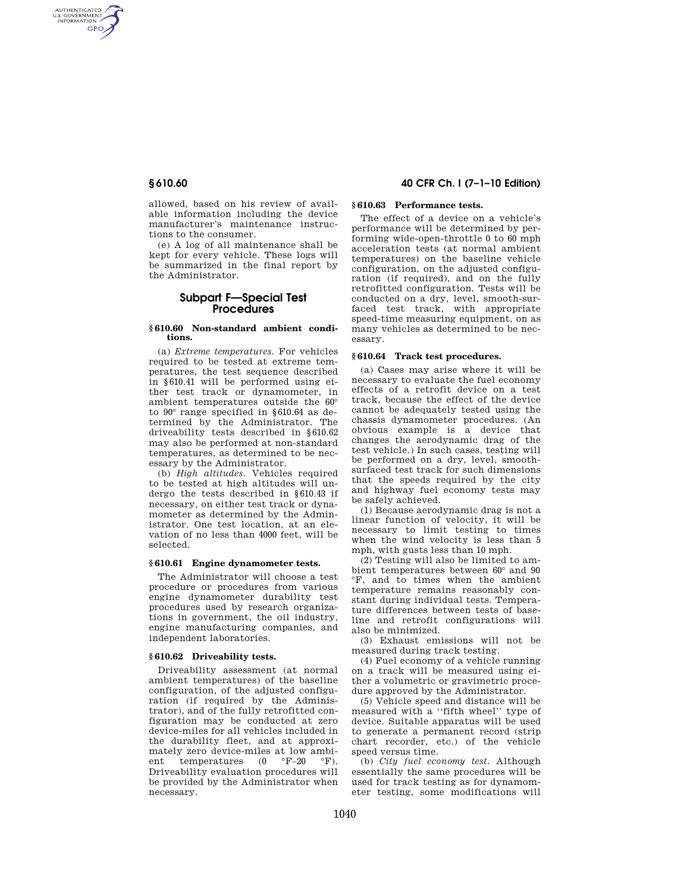AUTHENTICATED<br>U.S. GOVERNMENT<br>INFORMATION GPO

> allowed, based on his review of available information including the device manufacturer's maintenance instructions to the consumer.

> (e) A log of all maintenance shall be kept for every vehicle. These logs will be summarized in the final report by the Administrator.

# **Subpart F—Special Test Procedures**

#### **§ 610.60 Non-standard ambient conditions.**

(a) *Extreme temperatures.* For vehicles required to be tested at extreme temperatures, the test sequence described in §610.41 will be performed using either test track or dynamometer, in ambient temperatures outside the 60° to 90° range specified in §610.64 as determined by the Administrator. The driveability tests described in §610.62 may also be performed at non-standard temperatures, as determined to be necessary by the Administrator.

(b) *High altitudes.* Vehicles required to be tested at high altitudes will undergo the tests described in §610.43 if necessary, on either test track or dynamometer as determined by the Administrator. One test location, at an elevation of no less than 4000 feet, will be selected.

#### **§ 610.61 Engine dynamometer tests.**

The Administrator will choose a test procedure or procedures from various engine dynamometer durability test procedures used by research organizations in government, the oil industry, engine manufacturing companies, and independent laboratories.

### **§ 610.62 Driveability tests.**

Driveability assessment (at normal ambient temperatures) of the baseline configuration, of the adjusted configuration (if required by the Administrator), and of the fully retrofitted configuration may be conducted at zero device-miles for all vehicles included in the durability fleet, and at approximately zero device-miles at low ambi-<br>ent temperatures  $(0 \degree \text{F-20} \degree \text{F}).$ ent temperatures (0 Driveability evaluation procedures will be provided by the Administrator when necessary.

## **§ 610.60 40 CFR Ch. I (7–1–10 Edition)**

## **§ 610.63 Performance tests.**

The effect of a device on a vehicle's performance will be determined by performing wide-open-throttle 0 to 60 mph acceleration tests (at normal ambient temperatures) on the baseline vehicle configuration, on the adjusted configuration (if required), and on the fully retrofitted configuration. Tests will be conducted on a dry, level, smooth-surfaced test track, with appropriate speed-time measuring equipment, on as many vehicles as determined to be necessary.

#### **§ 610.64 Track test procedures.**

(a) Cases may arise where it will be necessary to evaluate the fuel economy effects of a retrofit device on a test track, because the effect of the device cannot be adequately tested using the chassis dynamometer procedures. (An obvious example is a device that changes the aerodynamic drag of the test vehicle.) In such cases, testing will be performed on a dry, level, smoothsurfaced test track for such dimensions that the speeds required by the city and highway fuel economy tests may be safely achieved.

(1) Because aerodynamic drag is not a linear function of velocity, it will be necessary to limit testing to times when the wind velocity is less than 5 mph, with gusts less than 10 mph.

(2) Testing will also be limited to ambient temperatures between 60° and 90 °F, and to times when the ambient temperature remains reasonably constant during individual tests. Temperature differences between tests of baseline and retrofit configurations will also be minimized.

(3) Exhaust emissions will not be measured during track testing.

(4) Fuel economy of a vehicle running on a track will be measured using either a volumetric or gravimetric procedure approved by the Administrator.

(5) Vehicle speed and distance will be measured with a ''fifth wheel'' type of device. Suitable apparatus will be used to generate a permanent record (strip chart recorder, etc.) of the vehicle speed versus time.

(b) *City fuel economy test.* Although essentially the same procedures will be used for track testing as for dynamometer testing, some modifications will